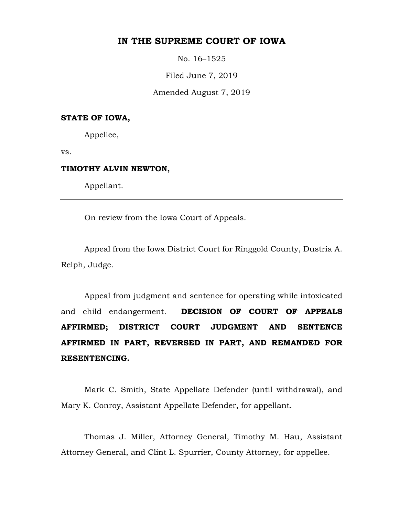# **IN THE SUPREME COURT OF IOWA**

No. 16–1525

Filed June 7, 2019

Amended August 7, 2019

## **STATE OF IOWA,**

Appellee,

vs.

## **TIMOTHY ALVIN NEWTON,**

Appellant.

On review from the Iowa Court of Appeals.

Appeal from the Iowa District Court for Ringgold County, Dustria A. Relph, Judge.

Appeal from judgment and sentence for operating while intoxicated and child endangerment. **DECISION OF COURT OF APPEALS AFFIRMED; DISTRICT COURT JUDGMENT AND SENTENCE AFFIRMED IN PART, REVERSED IN PART, AND REMANDED FOR RESENTENCING.** 

Mark C. Smith, State Appellate Defender (until withdrawal), and Mary K. Conroy, Assistant Appellate Defender, for appellant.

Thomas J. Miller, Attorney General, Timothy M. Hau, Assistant Attorney General, and Clint L. Spurrier, County Attorney, for appellee.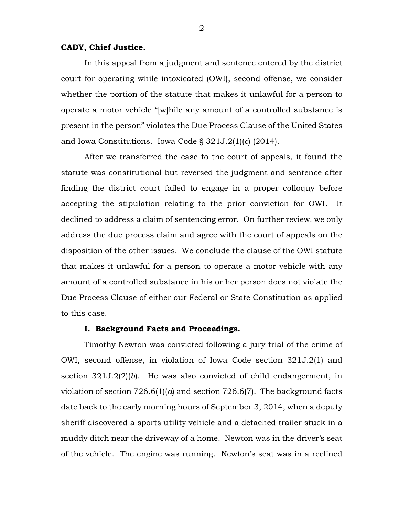## **CADY, Chief Justice.**

In this appeal from a judgment and sentence entered by the district court for operating while intoxicated (OWI), second offense, we consider whether the portion of the statute that makes it unlawful for a person to operate a motor vehicle "[w]hile any amount of a controlled substance is present in the person" violates the Due Process Clause of the United States and Iowa Constitutions. Iowa Code § 321J.2(1)(*c*) (2014).

After we transferred the case to the court of appeals, it found the statute was constitutional but reversed the judgment and sentence after finding the district court failed to engage in a proper colloquy before accepting the stipulation relating to the prior conviction for OWI. It declined to address a claim of sentencing error. On further review, we only address the due process claim and agree with the court of appeals on the disposition of the other issues. We conclude the clause of the OWI statute that makes it unlawful for a person to operate a motor vehicle with any amount of a controlled substance in his or her person does not violate the Due Process Clause of either our Federal or State Constitution as applied to this case.

#### **I. Background Facts and Proceedings.**

Timothy Newton was convicted following a jury trial of the crime of OWI, second offense, in violation of Iowa Code section 321J.2(1) and section 321J.2(2)(*b*). He was also convicted of child endangerment, in violation of section 726.6(1)(*a*) and section 726.6(7). The background facts date back to the early morning hours of September 3, 2014, when a deputy sheriff discovered a sports utility vehicle and a detached trailer stuck in a muddy ditch near the driveway of a home. Newton was in the driver's seat of the vehicle. The engine was running. Newton's seat was in a reclined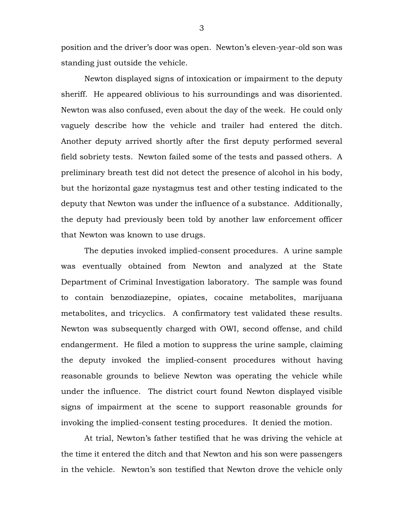position and the driver's door was open. Newton's eleven-year-old son was standing just outside the vehicle.

Newton displayed signs of intoxication or impairment to the deputy sheriff. He appeared oblivious to his surroundings and was disoriented. Newton was also confused, even about the day of the week. He could only vaguely describe how the vehicle and trailer had entered the ditch. Another deputy arrived shortly after the first deputy performed several field sobriety tests. Newton failed some of the tests and passed others. A preliminary breath test did not detect the presence of alcohol in his body, but the horizontal gaze nystagmus test and other testing indicated to the deputy that Newton was under the influence of a substance. Additionally, the deputy had previously been told by another law enforcement officer that Newton was known to use drugs.

The deputies invoked implied-consent procedures. A urine sample was eventually obtained from Newton and analyzed at the State Department of Criminal Investigation laboratory. The sample was found to contain benzodiazepine, opiates, cocaine metabolites, marijuana metabolites, and tricyclics. A confirmatory test validated these results. Newton was subsequently charged with OWI, second offense, and child endangerment. He filed a motion to suppress the urine sample, claiming the deputy invoked the implied-consent procedures without having reasonable grounds to believe Newton was operating the vehicle while under the influence. The district court found Newton displayed visible signs of impairment at the scene to support reasonable grounds for invoking the implied-consent testing procedures. It denied the motion.

At trial, Newton's father testified that he was driving the vehicle at the time it entered the ditch and that Newton and his son were passengers in the vehicle. Newton's son testified that Newton drove the vehicle only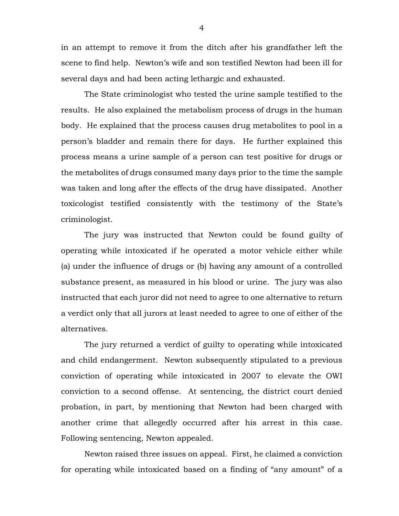in an attempt to remove it from the ditch after his grandfather left the scene to find help. Newton's wife and son testified Newton had been ill for several days and had been acting lethargic and exhausted.

The State criminologist who tested the urine sample testified to the results. He also explained the metabolism process of drugs in the human body. He explained that the process causes drug metabolites to pool in a person's bladder and remain there for days. He further explained this process means a urine sample of a person can test positive for drugs or the metabolites of drugs consumed many days prior to the time the sample was taken and long after the effects of the drug have dissipated. Another toxicologist testified consistently with the testimony of the State's criminologist.

The jury was instructed that Newton could be found guilty of operating while intoxicated if he operated a motor vehicle either while (a) under the influence of drugs or (b) having any amount of a controlled substance present, as measured in his blood or urine. The jury was also instructed that each juror did not need to agree to one alternative to return a verdict only that all jurors at least needed to agree to one of either of the alternatives.

The jury returned a verdict of guilty to operating while intoxicated and child endangerment. Newton subsequently stipulated to a previous conviction of operating while intoxicated in 2007 to elevate the OWI conviction to a second offense. At sentencing, the district court denied probation, in part, by mentioning that Newton had been charged with another crime that allegedly occurred after his arrest in this case. Following sentencing, Newton appealed.

Newton raised three issues on appeal. First, he claimed a conviction for operating while intoxicated based on a finding of "any amount" of a

4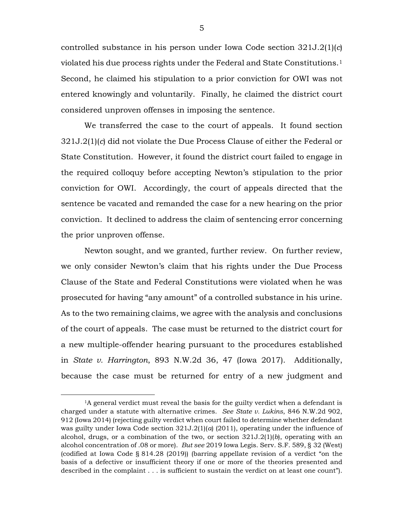controlled substance in his person under Iowa Code section 321J.2(1)(*c*) violated his due process rights under the Federal and State Constitutions.[1](#page-4-0)  Second, he claimed his stipulation to a prior conviction for OWI was not entered knowingly and voluntarily. Finally, he claimed the district court considered unproven offenses in imposing the sentence.

We transferred the case to the court of appeals. It found section 321J.2(1)(*c*) did not violate the Due Process Clause of either the Federal or State Constitution. However, it found the district court failed to engage in the required colloquy before accepting Newton's stipulation to the prior conviction for OWI. Accordingly, the court of appeals directed that the sentence be vacated and remanded the case for a new hearing on the prior conviction. It declined to address the claim of sentencing error concerning the prior unproven offense.

Newton sought, and we granted, further review. On further review, we only consider Newton's claim that his rights under the Due Process Clause of the State and Federal Constitutions were violated when he was prosecuted for having "any amount" of a controlled substance in his urine. As to the two remaining claims, we agree with the analysis and conclusions of the court of appeals. The case must be returned to the district court for a new multiple-offender hearing pursuant to the procedures established in *State v. Harrington*, 893 N.W.2d 36, 47 (Iowa 2017). Additionally, because the case must be returned for entry of a new judgment and

<span id="page-4-0"></span><sup>&</sup>lt;sup>1</sup>A general verdict must reveal the basis for the guilty verdict when a defendant is charged under a statute with alternative crimes. *See State v. Lukins*, 846 N.W.2d 902, 912 (Iowa 2014) (rejecting guilty verdict when court failed to determine whether defendant was guilty under Iowa Code section 321J.2(1)(*a*) (2011), operating under the influence of alcohol, drugs, or a combination of the two, or section 321J.2(1)(*b*), operating with an alcohol concentration of .08 or more). *But see* 2019 Iowa Legis. Serv. S.F. 589, § 32 (West) (codified at Iowa Code § 814.28 (2019)) (barring appellate revision of a verdict "on the basis of a defective or insufficient theory if one or more of the theories presented and described in the complaint . . . is sufficient to sustain the verdict on at least one count").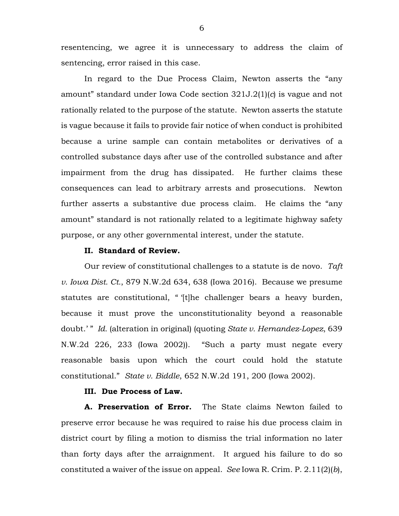resentencing, we agree it is unnecessary to address the claim of sentencing, error raised in this case.

In regard to the Due Process Claim, Newton asserts the "any amount" standard under Iowa Code section 321J.2(1)(*c*) is vague and not rationally related to the purpose of the statute. Newton asserts the statute is vague because it fails to provide fair notice of when conduct is prohibited because a urine sample can contain metabolites or derivatives of a controlled substance days after use of the controlled substance and after impairment from the drug has dissipated. He further claims these consequences can lead to arbitrary arrests and prosecutions. Newton further asserts a substantive due process claim. He claims the "any amount" standard is not rationally related to a legitimate highway safety purpose, or any other governmental interest, under the statute.

# **II. Standard of Review.**

Our review of constitutional challenges to a statute is de novo. *Taft v. Iowa Dist. Ct.*, 879 N.W.2d 634, 638 (Iowa 2016). Because we presume statutes are constitutional, " '[t]he challenger bears a heavy burden, because it must prove the unconstitutionality beyond a reasonable doubt.' " *Id.* (alteration in original) (quoting *State v. Hernandez-Lopez*, 639 N.W.2d 226, 233 (Iowa 2002)). "Such a party must negate every reasonable basis upon which the court could hold the statute constitutional." *State v. Biddle*, 652 N.W.2d 191, 200 (Iowa 2002).

# **III. Due Process of Law.**

**A. Preservation of Error.** The State claims Newton failed to preserve error because he was required to raise his due process claim in district court by filing a motion to dismiss the trial information no later than forty days after the arraignment. It argued his failure to do so constituted a waiver of the issue on appeal. *See* Iowa R. Crim. P. 2.11(2)(*b*),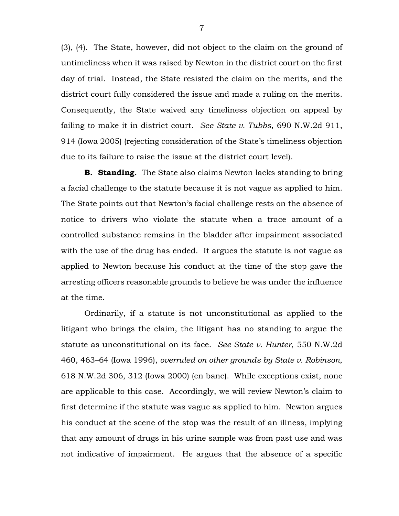(3), (4). The State, however, did not object to the claim on the ground of untimeliness when it was raised by Newton in the district court on the first day of trial. Instead, the State resisted the claim on the merits, and the district court fully considered the issue and made a ruling on the merits. Consequently, the State waived any timeliness objection on appeal by failing to make it in district court. *See State v. Tubbs*, 690 N.W.2d 911, 914 (Iowa 2005) (rejecting consideration of the State's timeliness objection due to its failure to raise the issue at the district court level).

**B. Standing.** The State also claims Newton lacks standing to bring a facial challenge to the statute because it is not vague as applied to him. The State points out that Newton's facial challenge rests on the absence of notice to drivers who violate the statute when a trace amount of a controlled substance remains in the bladder after impairment associated with the use of the drug has ended. It argues the statute is not vague as applied to Newton because his conduct at the time of the stop gave the arresting officers reasonable grounds to believe he was under the influence at the time.

Ordinarily, if a statute is not unconstitutional as applied to the litigant who brings the claim, the litigant has no standing to argue the statute as unconstitutional on its face. *See State v. Hunter*, 550 N.W.2d 460, 463–64 (Iowa 1996), *overruled on other grounds by State v. Robinson*, 618 N.W.2d 306, 312 (Iowa 2000) (en banc). While exceptions exist, none are applicable to this case. Accordingly, we will review Newton's claim to first determine if the statute was vague as applied to him. Newton argues his conduct at the scene of the stop was the result of an illness, implying that any amount of drugs in his urine sample was from past use and was not indicative of impairment. He argues that the absence of a specific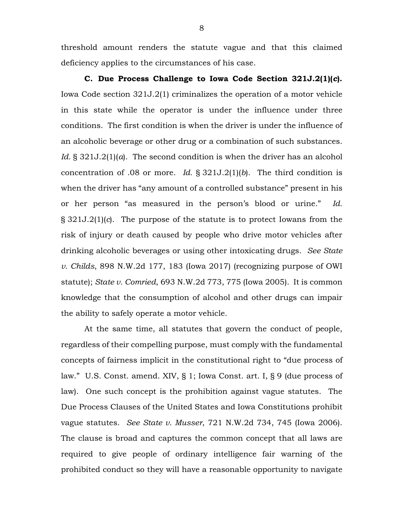threshold amount renders the statute vague and that this claimed deficiency applies to the circumstances of his case.

**C. Due Process Challenge to Iowa Code Section 321J.2(1)(***c***).**  Iowa Code section 321J.2(1) criminalizes the operation of a motor vehicle in this state while the operator is under the influence under three conditions. The first condition is when the driver is under the influence of an alcoholic beverage or other drug or a combination of such substances. *Id.* § 321J.2(1)(*a*). The second condition is when the driver has an alcohol concentration of .08 or more. *Id.* § 321J.2(1)(*b*). The third condition is when the driver has "any amount of a controlled substance" present in his or her person "as measured in the person's blood or urine." *Id.* § 321J.2(1)(*c*). The purpose of the statute is to protect Iowans from the risk of injury or death caused by people who drive motor vehicles after drinking alcoholic beverages or using other intoxicating drugs. *See State v. Childs*, 898 N.W.2d 177, 183 (Iowa 2017) (recognizing purpose of OWI statute); *State v. Comried*, 693 N.W.2d 773, 775 (Iowa 2005). It is common knowledge that the consumption of alcohol and other drugs can impair the ability to safely operate a motor vehicle.

At the same time, all statutes that govern the conduct of people, regardless of their compelling purpose, must comply with the fundamental concepts of fairness implicit in the constitutional right to "due process of law." U.S. Const. amend. XIV, § 1; Iowa Const. art. I, § 9 (due process of law). One such concept is the prohibition against vague statutes. The Due Process Clauses of the United States and Iowa Constitutions prohibit vague statutes. *See State v. Musser*, 721 N.W.2d 734, 745 (Iowa 2006). The clause is broad and captures the common concept that all laws are required to give people of ordinary intelligence fair warning of the prohibited conduct so they will have a reasonable opportunity to navigate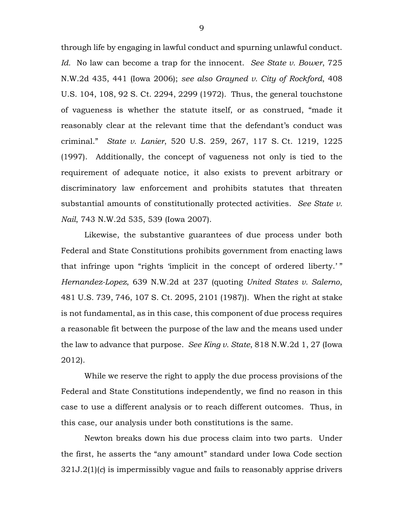through life by engaging in lawful conduct and spurning unlawful conduct. *Id.* No law can become a trap for the innocent. *See State v. Bower*, 725 N.W.2d 435, 441 (Iowa 2006); *see also Grayned v. City of Rockford*, 408 U.S. 104, 108, 92 S. Ct. 2294, 2299 (1972). Thus, the general touchstone of vagueness is whether the statute itself, or as construed, "made it reasonably clear at the relevant time that the defendant's conduct was criminal." *State v. Lanier*, 520 U.S. 259, 267, 117 S. Ct. 1219, 1225 (1997). Additionally, the concept of vagueness not only is tied to the requirement of adequate notice, it also exists to prevent arbitrary or discriminatory law enforcement and prohibits statutes that threaten substantial amounts of constitutionally protected activities. *See State v. Nail*, 743 N.W.2d 535, 539 (Iowa 2007).

Likewise, the substantive guarantees of due process under both Federal and State Constitutions prohibits government from enacting laws that infringe upon "rights 'implicit in the concept of ordered liberty.'" *Hernandez-Lopez*, 639 N.W.2d at 237 (quoting *United States v. Salerno*, 481 U.S. 739, 746, 107 S. Ct. 2095, 2101 (1987)). When the right at stake is not fundamental, as in this case, this component of due process requires a reasonable fit between the purpose of the law and the means used under the law to advance that purpose. *See King v. State*, 818 N.W.2d 1, 27 (Iowa 2012).

While we reserve the right to apply the due process provisions of the Federal and State Constitutions independently, we find no reason in this case to use a different analysis or to reach different outcomes. Thus, in this case, our analysis under both constitutions is the same.

Newton breaks down his due process claim into two parts. Under the first, he asserts the "any amount" standard under Iowa Code section 321J.2(1)(*c*) is impermissibly vague and fails to reasonably apprise drivers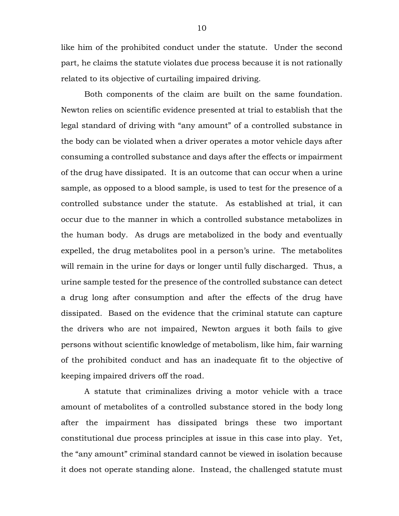like him of the prohibited conduct under the statute. Under the second part, he claims the statute violates due process because it is not rationally related to its objective of curtailing impaired driving.

Both components of the claim are built on the same foundation. Newton relies on scientific evidence presented at trial to establish that the legal standard of driving with "any amount" of a controlled substance in the body can be violated when a driver operates a motor vehicle days after consuming a controlled substance and days after the effects or impairment of the drug have dissipated. It is an outcome that can occur when a urine sample, as opposed to a blood sample, is used to test for the presence of a controlled substance under the statute. As established at trial, it can occur due to the manner in which a controlled substance metabolizes in the human body. As drugs are metabolized in the body and eventually expelled, the drug metabolites pool in a person's urine. The metabolites will remain in the urine for days or longer until fully discharged. Thus, a urine sample tested for the presence of the controlled substance can detect a drug long after consumption and after the effects of the drug have dissipated. Based on the evidence that the criminal statute can capture the drivers who are not impaired, Newton argues it both fails to give persons without scientific knowledge of metabolism, like him, fair warning of the prohibited conduct and has an inadequate fit to the objective of keeping impaired drivers off the road.

A statute that criminalizes driving a motor vehicle with a trace amount of metabolites of a controlled substance stored in the body long after the impairment has dissipated brings these two important constitutional due process principles at issue in this case into play. Yet, the "any amount" criminal standard cannot be viewed in isolation because it does not operate standing alone. Instead, the challenged statute must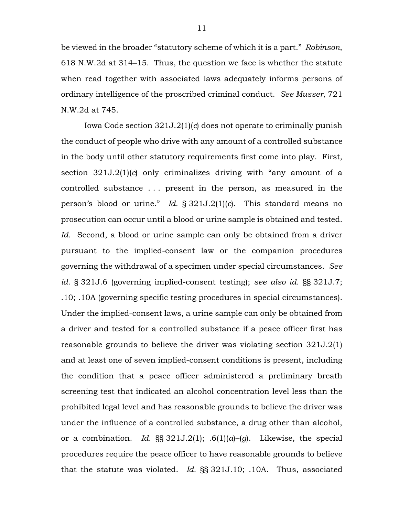be viewed in the broader "statutory scheme of which it is a part." *Robinson*, 618 N.W.2d at 314–15. Thus, the question we face is whether the statute when read together with associated laws adequately informs persons of ordinary intelligence of the proscribed criminal conduct. *See Musser*, 721 N.W.2d at 745.

Iowa Code section 321J.2(1)(*c*) does not operate to criminally punish the conduct of people who drive with any amount of a controlled substance in the body until other statutory requirements first come into play. First, section 321J.2(1)(*c*) only criminalizes driving with "any amount of a controlled substance . . . present in the person, as measured in the person's blood or urine." *Id.* § 321J.2(1)(*c*). This standard means no prosecution can occur until a blood or urine sample is obtained and tested. *Id.* Second, a blood or urine sample can only be obtained from a driver pursuant to the implied-consent law or the companion procedures governing the withdrawal of a specimen under special circumstances. *See id.* § 321J.6 (governing implied-consent testing); *see also id.* §§ 321J.7; .10; .10A (governing specific testing procedures in special circumstances). Under the implied-consent laws, a urine sample can only be obtained from a driver and tested for a controlled substance if a peace officer first has reasonable grounds to believe the driver was violating section 321J.2(1) and at least one of seven implied-consent conditions is present, including the condition that a peace officer administered a preliminary breath screening test that indicated an alcohol concentration level less than the prohibited legal level and has reasonable grounds to believe the driver was under the influence of a controlled substance, a drug other than alcohol, or a combination. *Id.* §§ 321J.2(1); .6(1)(*a*)–(*g*). Likewise, the special procedures require the peace officer to have reasonable grounds to believe that the statute was violated. *Id.* §§ 321J.10; .10A. Thus, associated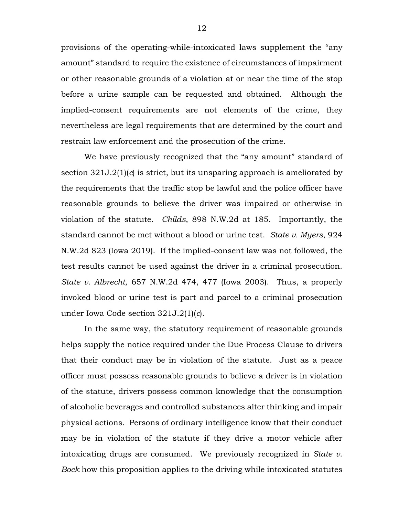provisions of the operating-while-intoxicated laws supplement the "any amount" standard to require the existence of circumstances of impairment or other reasonable grounds of a violation at or near the time of the stop before a urine sample can be requested and obtained. Although the implied-consent requirements are not elements of the crime, they nevertheless are legal requirements that are determined by the court and restrain law enforcement and the prosecution of the crime.

We have previously recognized that the "any amount" standard of section 321J.2(1)(*c*) is strict, but its unsparing approach is ameliorated by the requirements that the traffic stop be lawful and the police officer have reasonable grounds to believe the driver was impaired or otherwise in violation of the statute. *Childs*, 898 N.W.2d at 185. Importantly, the standard cannot be met without a blood or urine test. *State v. Myers*, 924 N.W.2d 823 (Iowa 2019). If the implied-consent law was not followed, the test results cannot be used against the driver in a criminal prosecution. *State v. Albrecht*, 657 N.W.2d 474, 477 (Iowa 2003). Thus, a properly invoked blood or urine test is part and parcel to a criminal prosecution under Iowa Code section 321J.2(1)(*c*).

In the same way, the statutory requirement of reasonable grounds helps supply the notice required under the Due Process Clause to drivers that their conduct may be in violation of the statute. Just as a peace officer must possess reasonable grounds to believe a driver is in violation of the statute, drivers possess common knowledge that the consumption of alcoholic beverages and controlled substances alter thinking and impair physical actions. Persons of ordinary intelligence know that their conduct may be in violation of the statute if they drive a motor vehicle after intoxicating drugs are consumed. We previously recognized in *State v. Bock* how this proposition applies to the driving while intoxicated statutes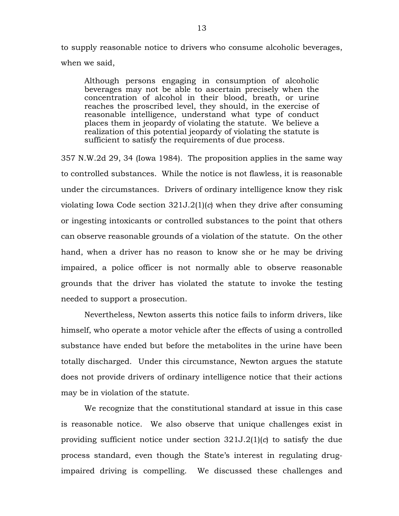to supply reasonable notice to drivers who consume alcoholic beverages, when we said,

Although persons engaging in consumption of alcoholic beverages may not be able to ascertain precisely when the concentration of alcohol in their blood, breath, or urine reaches the proscribed level, they should, in the exercise of reasonable intelligence, understand what type of conduct places them in jeopardy of violating the statute. We believe a realization of this potential jeopardy of violating the statute is sufficient to satisfy the requirements of due process.

357 N.W.2d 29, 34 (Iowa 1984). The proposition applies in the same way to controlled substances. While the notice is not flawless, it is reasonable under the circumstances. Drivers of ordinary intelligence know they risk violating Iowa Code section 321J.2(1)(*c*) when they drive after consuming or ingesting intoxicants or controlled substances to the point that others can observe reasonable grounds of a violation of the statute. On the other hand, when a driver has no reason to know she or he may be driving impaired, a police officer is not normally able to observe reasonable grounds that the driver has violated the statute to invoke the testing needed to support a prosecution.

Nevertheless, Newton asserts this notice fails to inform drivers, like himself, who operate a motor vehicle after the effects of using a controlled substance have ended but before the metabolites in the urine have been totally discharged. Under this circumstance, Newton argues the statute does not provide drivers of ordinary intelligence notice that their actions may be in violation of the statute.

We recognize that the constitutional standard at issue in this case is reasonable notice. We also observe that unique challenges exist in providing sufficient notice under section 321J.2(1)(*c*) to satisfy the due process standard, even though the State's interest in regulating drugimpaired driving is compelling. We discussed these challenges and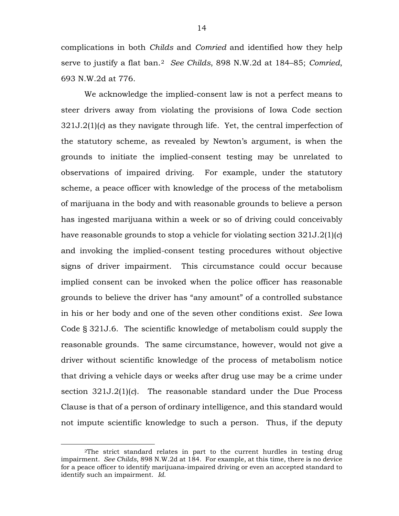complications in both *Childs* and *Comried* and identified how they help serve to justify a flat ban.[2](#page-13-0) *See Childs*, 898 N.W.2d at 184–85; *Comried*, 693 N.W.2d at 776.

We acknowledge the implied-consent law is not a perfect means to steer drivers away from violating the provisions of Iowa Code section 321J.2(1)(*c*) as they navigate through life. Yet, the central imperfection of the statutory scheme, as revealed by Newton's argument, is when the grounds to initiate the implied-consent testing may be unrelated to observations of impaired driving. For example, under the statutory scheme, a peace officer with knowledge of the process of the metabolism of marijuana in the body and with reasonable grounds to believe a person has ingested marijuana within a week or so of driving could conceivably have reasonable grounds to stop a vehicle for violating section 321J.2(1)(*c*) and invoking the implied-consent testing procedures without objective signs of driver impairment. This circumstance could occur because implied consent can be invoked when the police officer has reasonable grounds to believe the driver has "any amount" of a controlled substance in his or her body and one of the seven other conditions exist. *See* Iowa Code § 321J.6. The scientific knowledge of metabolism could supply the reasonable grounds. The same circumstance, however, would not give a driver without scientific knowledge of the process of metabolism notice that driving a vehicle days or weeks after drug use may be a crime under section 321J.2(1)(*c*). The reasonable standard under the Due Process Clause is that of a person of ordinary intelligence, and this standard would not impute scientific knowledge to such a person. Thus, if the deputy

<span id="page-13-0"></span> <sup>2</sup>The strict standard relates in part to the current hurdles in testing drug impairment. *See Childs*, 898 N.W.2d at 184. For example, at this time, there is no device for a peace officer to identify marijuana-impaired driving or even an accepted standard to identify such an impairment. *Id.*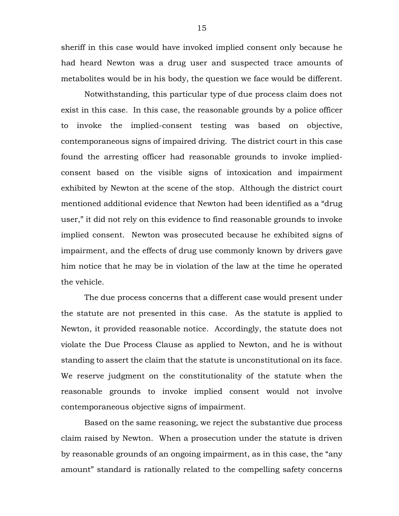sheriff in this case would have invoked implied consent only because he had heard Newton was a drug user and suspected trace amounts of metabolites would be in his body, the question we face would be different.

Notwithstanding, this particular type of due process claim does not exist in this case. In this case, the reasonable grounds by a police officer to invoke the implied-consent testing was based on objective, contemporaneous signs of impaired driving. The district court in this case found the arresting officer had reasonable grounds to invoke impliedconsent based on the visible signs of intoxication and impairment exhibited by Newton at the scene of the stop. Although the district court mentioned additional evidence that Newton had been identified as a "drug user," it did not rely on this evidence to find reasonable grounds to invoke implied consent. Newton was prosecuted because he exhibited signs of impairment, and the effects of drug use commonly known by drivers gave him notice that he may be in violation of the law at the time he operated the vehicle.

The due process concerns that a different case would present under the statute are not presented in this case. As the statute is applied to Newton, it provided reasonable notice. Accordingly, the statute does not violate the Due Process Clause as applied to Newton, and he is without standing to assert the claim that the statute is unconstitutional on its face. We reserve judgment on the constitutionality of the statute when the reasonable grounds to invoke implied consent would not involve contemporaneous objective signs of impairment.

Based on the same reasoning, we reject the substantive due process claim raised by Newton. When a prosecution under the statute is driven by reasonable grounds of an ongoing impairment, as in this case, the "any amount" standard is rationally related to the compelling safety concerns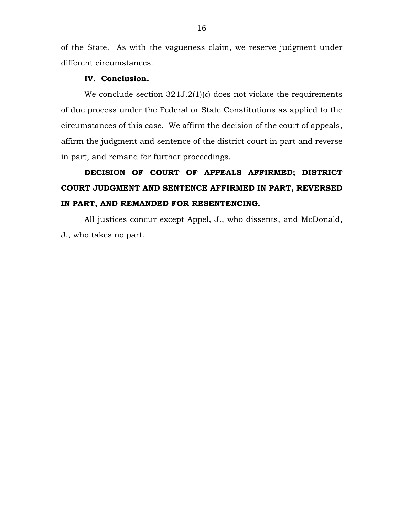of the State. As with the vagueness claim, we reserve judgment under different circumstances.

#### **IV. Conclusion.**

We conclude section 321J.2(1)(*c*) does not violate the requirements of due process under the Federal or State Constitutions as applied to the circumstances of this case. We affirm the decision of the court of appeals, affirm the judgment and sentence of the district court in part and reverse in part, and remand for further proceedings.

# **DECISION OF COURT OF APPEALS AFFIRMED; DISTRICT COURT JUDGMENT AND SENTENCE AFFIRMED IN PART, REVERSED IN PART, AND REMANDED FOR RESENTENCING.**

All justices concur except Appel, J., who dissents, and McDonald, J., who takes no part.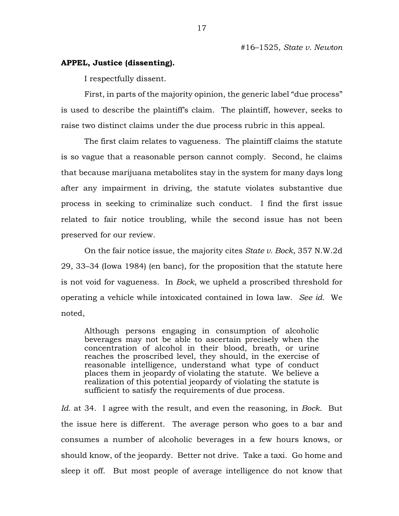# **APPEL, Justice (dissenting).**

I respectfully dissent.

First, in parts of the majority opinion, the generic label "due process" is used to describe the plaintiff's claim. The plaintiff, however, seeks to raise two distinct claims under the due process rubric in this appeal.

The first claim relates to vagueness. The plaintiff claims the statute is so vague that a reasonable person cannot comply. Second, he claims that because marijuana metabolites stay in the system for many days long after any impairment in driving, the statute violates substantive due process in seeking to criminalize such conduct. I find the first issue related to fair notice troubling, while the second issue has not been preserved for our review.

On the fair notice issue, the majority cites *State v. Bock*, 357 N.W.2d 29, 33–34 (Iowa 1984) (en banc), for the proposition that the statute here is not void for vagueness. In *Bock*, we upheld a proscribed threshold for operating a vehicle while intoxicated contained in Iowa law. *See id.* We noted,

Although persons engaging in consumption of alcoholic beverages may not be able to ascertain precisely when the concentration of alcohol in their blood, breath, or urine reaches the proscribed level, they should, in the exercise of reasonable intelligence, understand what type of conduct places them in jeopardy of violating the statute. We believe a realization of this potential jeopardy of violating the statute is sufficient to satisfy the requirements of due process.

*Id.* at 34. I agree with the result, and even the reasoning, in *Bock*. But the issue here is different. The average person who goes to a bar and consumes a number of alcoholic beverages in a few hours knows, or should know, of the jeopardy. Better not drive. Take a taxi. Go home and sleep it off. But most people of average intelligence do not know that

17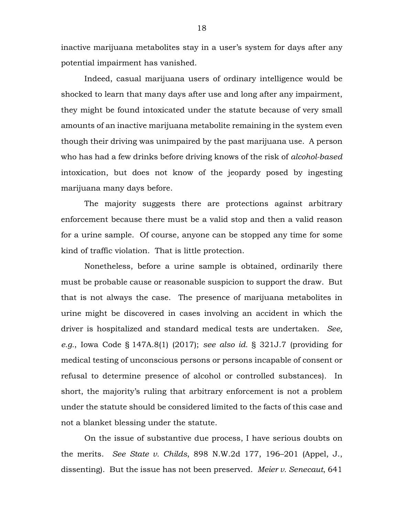inactive marijuana metabolites stay in a user's system for days after any potential impairment has vanished.

Indeed, casual marijuana users of ordinary intelligence would be shocked to learn that many days after use and long after any impairment, they might be found intoxicated under the statute because of very small amounts of an inactive marijuana metabolite remaining in the system even though their driving was unimpaired by the past marijuana use. A person who has had a few drinks before driving knows of the risk of *alcohol-based*  intoxication, but does not know of the jeopardy posed by ingesting marijuana many days before.

The majority suggests there are protections against arbitrary enforcement because there must be a valid stop and then a valid reason for a urine sample. Of course, anyone can be stopped any time for some kind of traffic violation. That is little protection.

Nonetheless, before a urine sample is obtained, ordinarily there must be probable cause or reasonable suspicion to support the draw. But that is not always the case. The presence of marijuana metabolites in urine might be discovered in cases involving an accident in which the driver is hospitalized and standard medical tests are undertaken. *See, e.g.*, Iowa Code § 147A.8(1) (2017); *see also id.* § 321J.7 (providing for medical testing of unconscious persons or persons incapable of consent or refusal to determine presence of alcohol or controlled substances). In short, the majority's ruling that arbitrary enforcement is not a problem under the statute should be considered limited to the facts of this case and not a blanket blessing under the statute.

On the issue of substantive due process, I have serious doubts on the merits. *See State v. Childs*, 898 N.W.2d 177, 196–201 (Appel, J., dissenting). But the issue has not been preserved. *Meier v. Senecaut*, 641